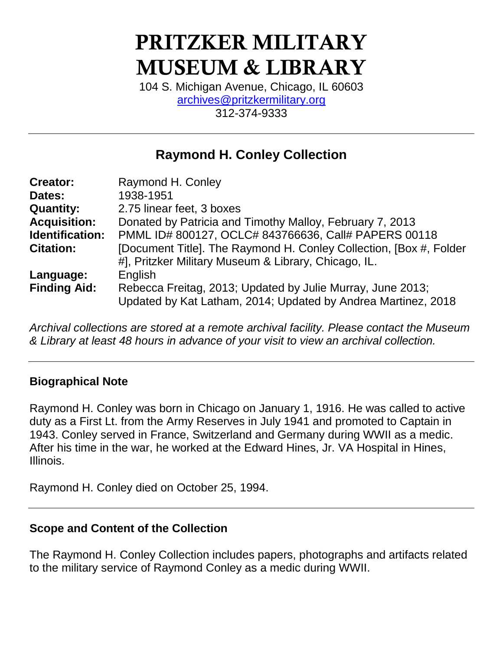# **PRITZKER MILITARY MUSEUM & LIBRARY**

104 S. Michigan Avenue, Chicago, IL 60603 [archives@pritzkermilitary.org](mailto:archives@pritzkermilitary.org) 312-374-9333

### **Raymond H. Conley Collection**

| <b>Creator:</b>        | Raymond H. Conley                                                                                                           |
|------------------------|-----------------------------------------------------------------------------------------------------------------------------|
| Dates:                 | 1938-1951                                                                                                                   |
| <b>Quantity:</b>       | 2.75 linear feet, 3 boxes                                                                                                   |
| <b>Acquisition:</b>    | Donated by Patricia and Timothy Malloy, February 7, 2013                                                                    |
| <b>Identification:</b> | PMML ID# 800127, OCLC# 843766636, Call# PAPERS 00118                                                                        |
| <b>Citation:</b>       | [Document Title]. The Raymond H. Conley Collection, [Box #, Folder                                                          |
|                        | #], Pritzker Military Museum & Library, Chicago, IL.                                                                        |
| Language:              | English                                                                                                                     |
| <b>Finding Aid:</b>    | Rebecca Freitag, 2013; Updated by Julie Murray, June 2013;<br>Updated by Kat Latham, 2014; Updated by Andrea Martinez, 2018 |

*Archival collections are stored at a remote archival facility. Please contact the Museum & Library at least 48 hours in advance of your visit to view an archival collection.*

#### **Biographical Note**

Raymond H. Conley was born in Chicago on January 1, 1916. He was called to active duty as a First Lt. from the Army Reserves in July 1941 and promoted to Captain in 1943. Conley served in France, Switzerland and Germany during WWII as a medic. After his time in the war, he worked at the Edward Hines, Jr. VA Hospital in Hines, Illinois.

Raymond H. Conley died on October 25, 1994.

#### **Scope and Content of the Collection**

The Raymond H. Conley Collection includes papers, photographs and artifacts related to the military service of Raymond Conley as a medic during WWII.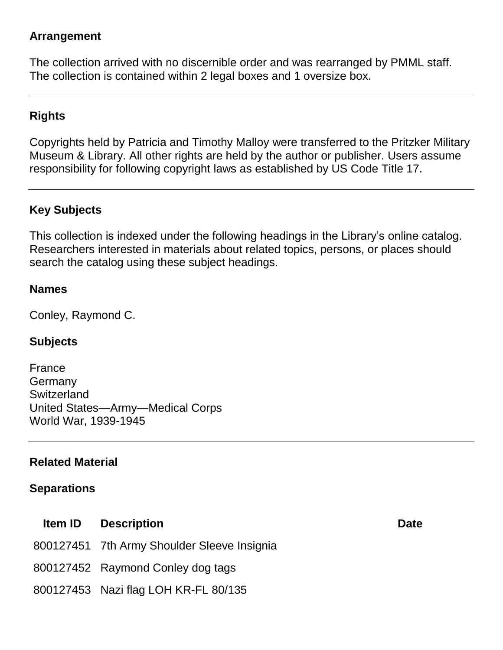#### **Arrangement**

The collection arrived with no discernible order and was rearranged by PMML staff. The collection is contained within 2 legal boxes and 1 oversize box.

#### **Rights**

Copyrights held by Patricia and Timothy Malloy were transferred to the Pritzker Military Museum & Library. All other rights are held by the author or publisher. Users assume responsibility for following copyright laws as established by US Code Title 17.

#### **Key Subjects**

This collection is indexed under the following headings in the Library's online catalog. Researchers interested in materials about related topics, persons, or places should search the catalog using these subject headings.

#### **Names**

Conley, Raymond C.

#### **Subjects**

France **Germany Switzerland** United States—Army—Medical Corps World War, 1939-1945

#### **Related Material**

#### **Separations**

- **Item ID Description Date** 800127451 7th Army Shoulder Sleeve Insignia 800127452 Raymond Conley dog tags
- 800127453 Nazi flag LOH KR-FL 80/135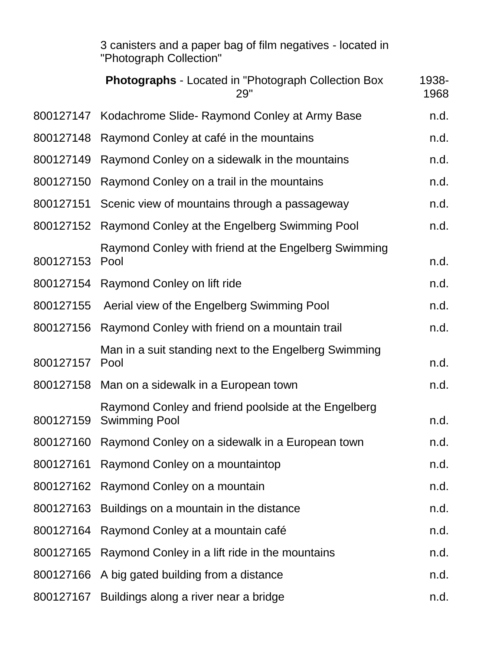|                         | 3 canisters and a paper bag of film negatives - located in |
|-------------------------|------------------------------------------------------------|
| "Photograph Collection" |                                                            |

|           | <b>Photographs</b> - Located in "Photograph Collection Box<br>29"           | 1938-<br>1968 |
|-----------|-----------------------------------------------------------------------------|---------------|
| 800127147 | Kodachrome Slide- Raymond Conley at Army Base                               | n.d.          |
| 800127148 | Raymond Conley at café in the mountains                                     | n.d.          |
| 800127149 | Raymond Conley on a sidewalk in the mountains                               | n.d.          |
| 800127150 | Raymond Conley on a trail in the mountains                                  | n.d.          |
| 800127151 | Scenic view of mountains through a passageway                               | n.d.          |
| 800127152 | Raymond Conley at the Engelberg Swimming Pool                               | n.d.          |
| 800127153 | Raymond Conley with friend at the Engelberg Swimming<br>Pool                | n.d.          |
|           | 800127154 Raymond Conley on lift ride                                       | n.d.          |
| 800127155 | Aerial view of the Engelberg Swimming Pool                                  | n.d.          |
| 800127156 | Raymond Conley with friend on a mountain trail                              | n.d.          |
| 800127157 | Man in a suit standing next to the Engelberg Swimming<br>Pool               | n.d.          |
|           | 800127158 Man on a sidewalk in a European town                              | n.d.          |
| 800127159 | Raymond Conley and friend poolside at the Engelberg<br><b>Swimming Pool</b> | n.d.          |
|           | 800127160 Raymond Conley on a sidewalk in a European town                   | n.d.          |
| 800127161 | Raymond Conley on a mountaintop                                             | n.d.          |
| 800127162 | Raymond Conley on a mountain                                                | n.d.          |
| 800127163 | Buildings on a mountain in the distance                                     | n.d.          |
| 800127164 | Raymond Conley at a mountain café                                           | n.d.          |
| 800127165 | Raymond Conley in a lift ride in the mountains                              | n.d.          |
| 800127166 | A big gated building from a distance                                        | n.d.          |
| 800127167 | Buildings along a river near a bridge                                       | n.d.          |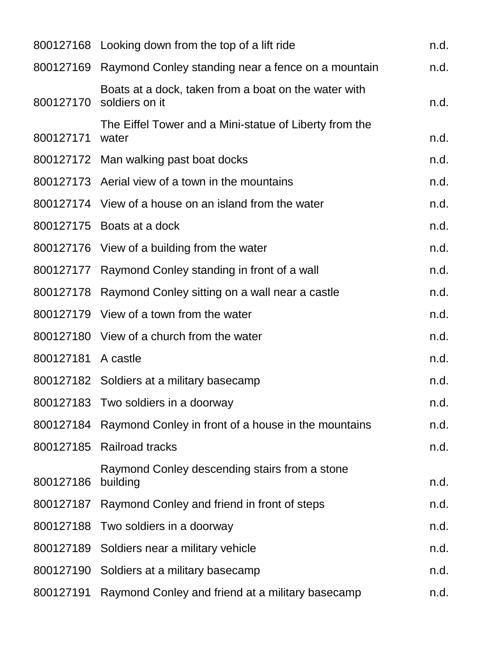|           | 800127168 Looking down from the top of a lift ride                     | n.d. |
|-----------|------------------------------------------------------------------------|------|
|           | 800127169 Raymond Conley standing near a fence on a mountain           | n.d. |
| 800127170 | Boats at a dock, taken from a boat on the water with<br>soldiers on it | n.d. |
| 800127171 | The Eiffel Tower and a Mini-statue of Liberty from the<br>water        | n.d. |
|           | 800127172 Man walking past boat docks                                  | n.d. |
|           | 800127173 Aerial view of a town in the mountains                       | n.d. |
|           | 800127174 View of a house on an island from the water                  | n.d. |
| 800127175 | Boats at a dock                                                        | n.d. |
|           | 800127176 View of a building from the water                            | n.d. |
|           | 800127177 Raymond Conley standing in front of a wall                   | n.d. |
| 800127178 | Raymond Conley sitting on a wall near a castle                         | n.d. |
|           | 800127179 View of a town from the water                                | n.d. |
|           | 800127180 View of a church from the water                              | n.d. |
| 800127181 | A castle                                                               | n.d. |
|           | 800127182 Soldiers at a military basecamp                              | n.d. |
|           | 800127183 Two soldiers in a doorway                                    | n.d. |
|           | 800127184 Raymond Conley in front of a house in the mountains          | n.d. |
| 800127185 | <b>Railroad tracks</b>                                                 | n.d. |
| 800127186 | Raymond Conley descending stairs from a stone<br>building              | n.d. |
|           | 800127187 Raymond Conley and friend in front of steps                  | n.d. |
| 800127188 | Two soldiers in a doorway                                              | n.d. |
| 800127189 | Soldiers near a military vehicle                                       | n.d. |
|           | 800127190 Soldiers at a military basecamp                              | n.d. |
| 800127191 | Raymond Conley and friend at a military basecamp                       | n.d. |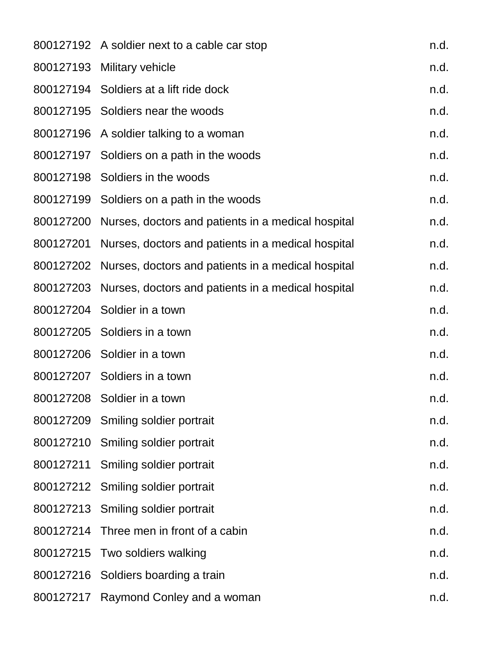|           | 800127192 A soldier next to a cable car stop                 | n.d. |
|-----------|--------------------------------------------------------------|------|
|           | 800127193 Military vehicle                                   | n.d. |
|           | 800127194 Soldiers at a lift ride dock                       | n.d. |
|           | 800127195 Soldiers near the woods                            | n.d. |
|           | 800127196 A soldier talking to a woman                       | n.d. |
|           | 800127197 Soldiers on a path in the woods                    | n.d. |
|           | 800127198 Soldiers in the woods                              | n.d. |
|           | 800127199 Soldiers on a path in the woods                    | n.d. |
|           | 800127200 Nurses, doctors and patients in a medical hospital | n.d. |
|           | 800127201 Nurses, doctors and patients in a medical hospital | n.d. |
|           | 800127202 Nurses, doctors and patients in a medical hospital | n.d. |
|           | 800127203 Nurses, doctors and patients in a medical hospital | n.d. |
|           | 800127204 Soldier in a town                                  | n.d. |
|           | 800127205 Soldiers in a town                                 | n.d. |
|           | 800127206 Soldier in a town                                  | n.d. |
|           | 800127207 Soldiers in a town                                 | n.d. |
|           | 800127208 Soldier in a town                                  | n.d. |
|           | 800127209 Smiling soldier portrait                           | n.d. |
|           | 800127210 Smiling soldier portrait                           | n.d. |
| 800127211 | Smiling soldier portrait                                     | n.d. |
|           | 800127212 Smiling soldier portrait                           | n.d. |
|           | 800127213 Smiling soldier portrait                           | n.d. |
|           | 800127214 Three men in front of a cabin                      | n.d. |
| 800127215 | Two soldiers walking                                         | n.d. |
|           | 800127216 Soldiers boarding a train                          | n.d. |
|           | 800127217 Raymond Conley and a woman                         | n.d. |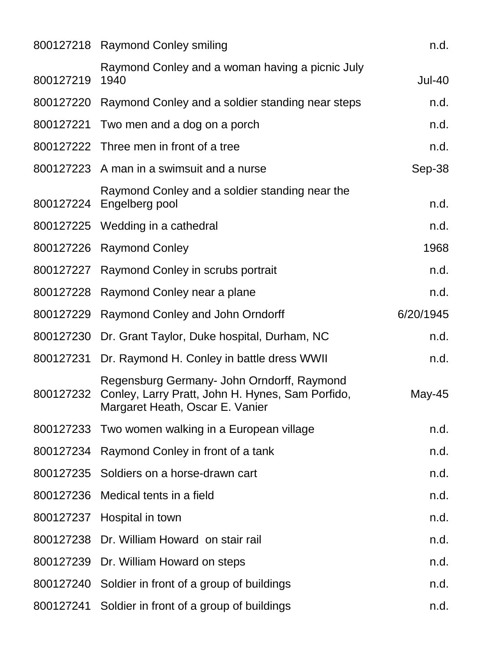|           | 800127218 Raymond Conley smiling                                                                                                            | n.d.          |
|-----------|---------------------------------------------------------------------------------------------------------------------------------------------|---------------|
| 800127219 | Raymond Conley and a woman having a picnic July<br>1940                                                                                     | <b>Jul-40</b> |
|           | 800127220 Raymond Conley and a soldier standing near steps                                                                                  | n.d.          |
| 800127221 | Two men and a dog on a porch                                                                                                                | n.d.          |
|           | 800127222 Three men in front of a tree                                                                                                      | n.d.          |
|           | 800127223 A man in a swimsuit and a nurse                                                                                                   | Sep-38        |
|           | Raymond Conley and a soldier standing near the<br>800127224 Engelberg pool                                                                  | n.d.          |
|           | 800127225 Wedding in a cathedral                                                                                                            | n.d.          |
|           | 800127226 Raymond Conley                                                                                                                    | 1968          |
|           | 800127227 Raymond Conley in scrubs portrait                                                                                                 | n.d.          |
| 800127228 | Raymond Conley near a plane                                                                                                                 | n.d.          |
|           | 800127229 Raymond Conley and John Orndorff                                                                                                  | 6/20/1945     |
|           | 800127230 Dr. Grant Taylor, Duke hospital, Durham, NC                                                                                       | n.d.          |
| 800127231 | Dr. Raymond H. Conley in battle dress WWII                                                                                                  | n.d.          |
|           | Regensburg Germany- John Orndorff, Raymond<br>800127232 Conley, Larry Pratt, John H. Hynes, Sam Porfido,<br>Margaret Heath, Oscar E. Vanier | May-45        |
|           | 800127233 Two women walking in a European village                                                                                           | n.d.          |
|           | 800127234 Raymond Conley in front of a tank                                                                                                 | n.d.          |
|           | 800127235 Soldiers on a horse-drawn cart                                                                                                    | n.d.          |
| 800127236 | Medical tents in a field                                                                                                                    | n.d.          |
|           | 800127237 Hospital in town                                                                                                                  | n.d.          |
|           | 800127238 Dr. William Howard on stair rail                                                                                                  | n.d.          |
|           | 800127239 Dr. William Howard on steps                                                                                                       | n.d.          |
| 800127240 | Soldier in front of a group of buildings                                                                                                    | n.d.          |
| 800127241 | Soldier in front of a group of buildings                                                                                                    | n.d.          |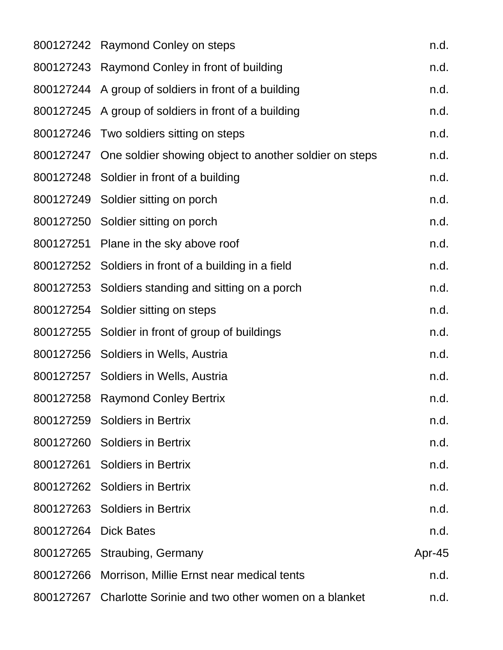|                      | 800127242 Raymond Conley on steps                                | n.d.   |
|----------------------|------------------------------------------------------------------|--------|
|                      | 800127243 Raymond Conley in front of building                    | n.d.   |
|                      | 800127244 A group of soldiers in front of a building             | n.d.   |
|                      | 800127245 A group of soldiers in front of a building             | n.d.   |
|                      | 800127246 Two soldiers sitting on steps                          | n.d.   |
|                      | 800127247 One soldier showing object to another soldier on steps | n.d.   |
|                      | 800127248 Soldier in front of a building                         | n.d.   |
|                      | 800127249 Soldier sitting on porch                               | n.d.   |
|                      | 800127250 Soldier sitting on porch                               | n.d.   |
|                      | 800127251 Plane in the sky above roof                            | n.d.   |
|                      | 800127252 Soldiers in front of a building in a field             | n.d.   |
|                      | 800127253 Soldiers standing and sitting on a porch               | n.d.   |
|                      | 800127254 Soldier sitting on steps                               | n.d.   |
|                      | 800127255 Soldier in front of group of buildings                 | n.d.   |
|                      | 800127256 Soldiers in Wells, Austria                             | n.d.   |
|                      | 800127257 Soldiers in Wells, Austria                             | n.d.   |
|                      | 800127258 Raymond Conley Bertrix                                 | n.d.   |
|                      | 800127259 Soldiers in Bertrix                                    | n.d.   |
|                      | 800127260 Soldiers in Bertrix                                    | n.d.   |
|                      | 800127261 Soldiers in Bertrix                                    | n.d.   |
|                      | 800127262 Soldiers in Bertrix                                    | n.d.   |
|                      | 800127263 Soldiers in Bertrix                                    | n.d.   |
| 800127264 Dick Bates |                                                                  | n.d.   |
|                      | 800127265 Straubing, Germany                                     | Apr-45 |
| 800127266            | Morrison, Millie Ernst near medical tents                        | n.d.   |
|                      | 800127267 Charlotte Sorinie and two other women on a blanket     | n.d.   |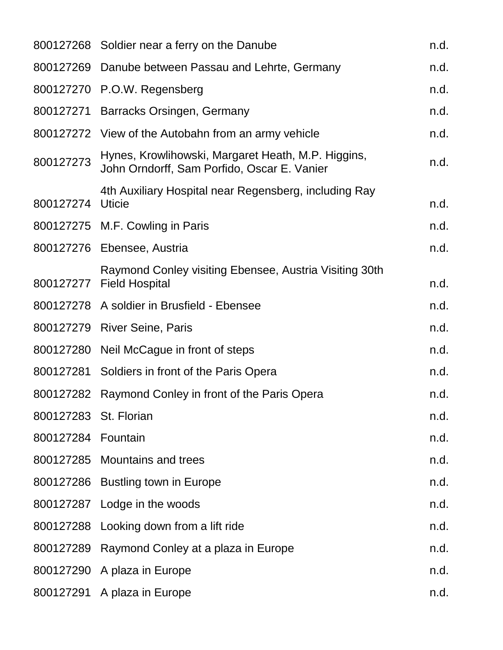|                       | 800127268 Soldier near a ferry on the Danube                                                      | n.d. |
|-----------------------|---------------------------------------------------------------------------------------------------|------|
|                       | 800127269 Danube between Passau and Lehrte, Germany                                               | n.d. |
|                       | 800127270 P.O.W. Regensberg                                                                       | n.d. |
|                       | 800127271 Barracks Orsingen, Germany                                                              | n.d. |
|                       | 800127272 View of the Autobahn from an army vehicle                                               | n.d. |
| 800127273             | Hynes, Krowlihowski, Margaret Heath, M.P. Higgins,<br>John Orndorff, Sam Porfido, Oscar E. Vanier | n.d. |
| 800127274             | 4th Auxiliary Hospital near Regensberg, including Ray<br><b>Uticie</b>                            | n.d. |
|                       | 800127275 M.F. Cowling in Paris                                                                   | n.d. |
|                       | 800127276 Ebensee, Austria                                                                        | n.d. |
| 800127277             | Raymond Conley visiting Ebensee, Austria Visiting 30th<br><b>Field Hospital</b>                   | n.d. |
|                       | 800127278 A soldier in Brusfield - Ebensee                                                        | n.d. |
|                       | 800127279 River Seine, Paris                                                                      | n.d. |
|                       | 800127280 Neil McCague in front of steps                                                          | n.d. |
|                       | 800127281 Soldiers in front of the Paris Opera                                                    | n.d. |
| 800127282             | Raymond Conley in front of the Paris Opera                                                        | n.d. |
| 800127283 St. Florian |                                                                                                   | n.d. |
| 800127284             | Fountain                                                                                          | n.d. |
|                       | 800127285 Mountains and trees                                                                     | n.d. |
|                       | 800127286 Bustling town in Europe                                                                 | n.d. |
| 800127287             | Lodge in the woods                                                                                | n.d. |
| 800127288             | Looking down from a lift ride                                                                     | n.d. |
| 800127289             | Raymond Conley at a plaza in Europe                                                               | n.d. |
|                       | 800127290 A plaza in Europe                                                                       | n.d. |
|                       | 800127291 A plaza in Europe                                                                       | n.d. |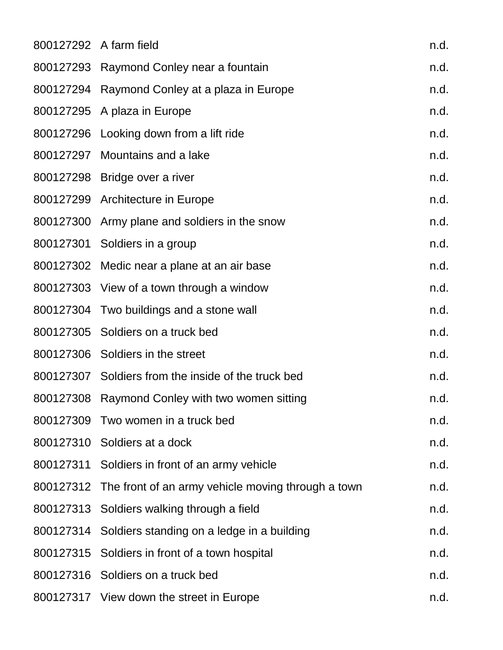|           | 800127292 A farm field                               | n.d. |
|-----------|------------------------------------------------------|------|
|           | 800127293 Raymond Conley near a fountain             | n.d. |
|           | 800127294 Raymond Conley at a plaza in Europe        | n.d. |
|           | 800127295 A plaza in Europe                          | n.d. |
|           | 800127296 Looking down from a lift ride              | n.d. |
|           | 800127297 Mountains and a lake                       | n.d. |
|           | 800127298 Bridge over a river                        | n.d. |
|           | 800127299 Architecture in Europe                     | n.d. |
|           | 800127300 Army plane and soldiers in the snow        | n.d. |
|           | 800127301 Soldiers in a group                        | n.d. |
|           | 800127302 Medic near a plane at an air base          | n.d. |
|           | 800127303 View of a town through a window            | n.d. |
|           | 800127304 Two buildings and a stone wall             | n.d. |
|           | 800127305 Soldiers on a truck bed                    | n.d. |
|           | 800127306 Soldiers in the street                     | n.d. |
|           | 800127307 Soldiers from the inside of the truck bed  | n.d. |
|           | 800127308 Raymond Conley with two women sitting      | n.d. |
|           | 800127309 Two women in a truck bed                   | n.d. |
|           | 800127310 Soldiers at a dock                         | n.d. |
|           | 800127311 Soldiers in front of an army vehicle       | n.d. |
| 800127312 | The front of an army vehicle moving through a town   | n.d. |
|           | 800127313 Soldiers walking through a field           | n.d. |
|           | 800127314 Soldiers standing on a ledge in a building | n.d. |
|           | 800127315 Soldiers in front of a town hospital       | n.d. |
|           | 800127316 Soldiers on a truck bed                    | n.d. |
|           | 800127317 View down the street in Europe             | n.d. |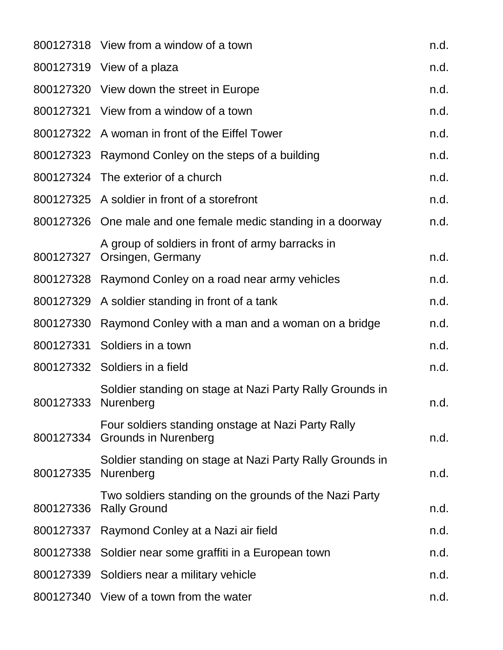|                     | 800127318 View from a window of a town                                               | n.d. |
|---------------------|--------------------------------------------------------------------------------------|------|
|                     | 800127319 View of a plaza                                                            | n.d. |
|                     | 800127320 View down the street in Europe                                             | n.d. |
|                     | 800127321 View from a window of a town                                               | n.d. |
|                     | 800127322 A woman in front of the Eiffel Tower                                       | n.d. |
|                     | 800127323 Raymond Conley on the steps of a building                                  | n.d. |
|                     | 800127324 The exterior of a church                                                   | n.d. |
|                     | 800127325 A soldier in front of a storefront                                         | n.d. |
|                     | 800127326 One male and one female medic standing in a doorway                        | n.d. |
|                     | A group of soldiers in front of army barracks in<br>800127327 Orsingen, Germany      | n.d. |
|                     | 800127328 Raymond Conley on a road near army vehicles                                | n.d. |
|                     | 800127329 A soldier standing in front of a tank                                      | n.d. |
| 800127330           | Raymond Conley with a man and a woman on a bridge                                    | n.d. |
|                     | 800127331 Soldiers in a town                                                         | n.d. |
|                     | 800127332 Soldiers in a field                                                        | n.d. |
| 800127333 Nurenberg | Soldier standing on stage at Nazi Party Rally Grounds in                             | n.d. |
|                     | Four soldiers standing onstage at Nazi Party Rally<br>800127334 Grounds in Nurenberg | n.d. |
| 800127335           | Soldier standing on stage at Nazi Party Rally Grounds in<br>Nurenberg                | n.d. |
| 800127336           | Two soldiers standing on the grounds of the Nazi Party<br><b>Rally Ground</b>        | n.d. |
|                     | 800127337 Raymond Conley at a Nazi air field                                         | n.d. |
|                     | 800127338 Soldier near some graffiti in a European town                              | n.d. |
| 800127339           | Soldiers near a military vehicle                                                     | n.d. |
|                     | 800127340 View of a town from the water                                              | n.d. |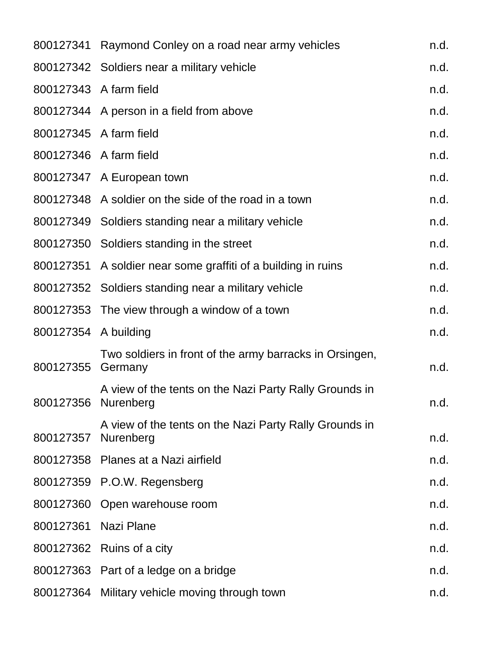|                      | 800127341 Raymond Conley on a road near army vehicles               | n.d. |
|----------------------|---------------------------------------------------------------------|------|
|                      | 800127342 Soldiers near a military vehicle                          | n.d. |
|                      | 800127343 A farm field                                              | n.d. |
|                      | 800127344 A person in a field from above                            | n.d. |
|                      | 800127345 A farm field                                              | n.d. |
|                      | 800127346 A farm field                                              | n.d. |
|                      | 800127347 A European town                                           | n.d. |
|                      | 800127348 A soldier on the side of the road in a town               | n.d. |
|                      | 800127349 Soldiers standing near a military vehicle                 | n.d. |
|                      | 800127350 Soldiers standing in the street                           | n.d. |
| 800127351            | A soldier near some graffiti of a building in ruins                 | n.d. |
|                      | 800127352 Soldiers standing near a military vehicle                 | n.d. |
|                      | 800127353 The view through a window of a town                       | n.d. |
| 800127354 A building |                                                                     | n.d. |
| 800127355            | Two soldiers in front of the army barracks in Orsingen,<br>Germany  | n.d. |
| 800127356            | A view of the tents on the Nazi Party Rally Grounds in<br>Nurenberg | n.d. |
| 800127357            | A view of the tents on the Nazi Party Rally Grounds in<br>Nurenberg | n.d. |
|                      | 800127358 Planes at a Nazi airfield                                 | n.d. |
|                      | 800127359 P.O.W. Regensberg                                         | n.d. |
|                      | 800127360 Open warehouse room                                       | n.d. |
| 800127361            | Nazi Plane                                                          | n.d. |
|                      | 800127362 Ruins of a city                                           | n.d. |
|                      | 800127363 Part of a ledge on a bridge                               | n.d. |
|                      | 800127364 Military vehicle moving through town                      | n.d. |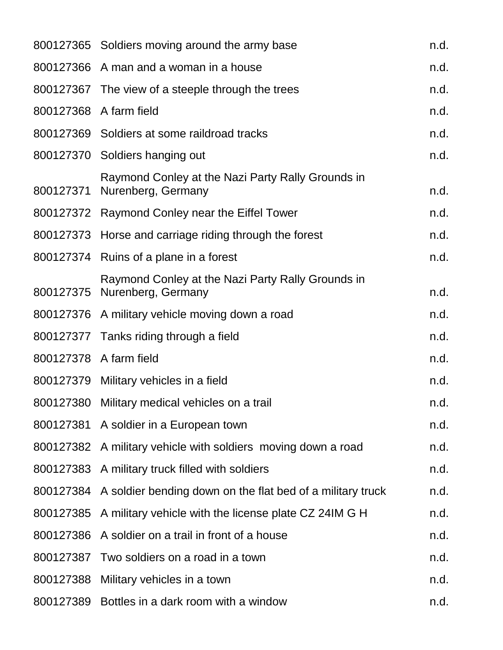|           | 800127365 Soldiers moving around the army base                          | n.d. |
|-----------|-------------------------------------------------------------------------|------|
|           | 800127366 A man and a woman in a house                                  | n.d. |
|           | 800127367 The view of a steeple through the trees                       | n.d. |
|           | 800127368 A farm field                                                  | n.d. |
|           | 800127369 Soldiers at some raildroad tracks                             | n.d. |
|           | 800127370 Soldiers hanging out                                          | n.d. |
| 800127371 | Raymond Conley at the Nazi Party Rally Grounds in<br>Nurenberg, Germany | n.d. |
|           | 800127372 Raymond Conley near the Eiffel Tower                          | n.d. |
| 800127373 | Horse and carriage riding through the forest                            | n.d. |
|           | 800127374 Ruins of a plane in a forest                                  | n.d. |
| 800127375 | Raymond Conley at the Nazi Party Rally Grounds in<br>Nurenberg, Germany | n.d. |
|           | 800127376 A military vehicle moving down a road                         | n.d. |
|           | 800127377 Tanks riding through a field                                  | n.d. |
|           | 800127378 A farm field                                                  | n.d. |
| 800127379 | Military vehicles in a field                                            | n.d. |
|           | 800127380 Military medical vehicles on a trail                          | n.d. |
|           | 800127381 A soldier in a European town                                  | n.d. |
|           | 800127382 A military vehicle with soldiers moving down a road           | n.d. |
|           | 800127383 A military truck filled with soldiers                         | n.d. |
|           | 800127384 A soldier bending down on the flat bed of a military truck    | n.d. |
| 800127385 | A military vehicle with the license plate CZ 24IM G H                   | n.d. |
| 800127386 | A soldier on a trail in front of a house                                | n.d. |
|           | 800127387 Two soldiers on a road in a town                              | n.d. |
|           | 800127388 Military vehicles in a town                                   | n.d. |
|           | 800127389 Bottles in a dark room with a window                          | n.d. |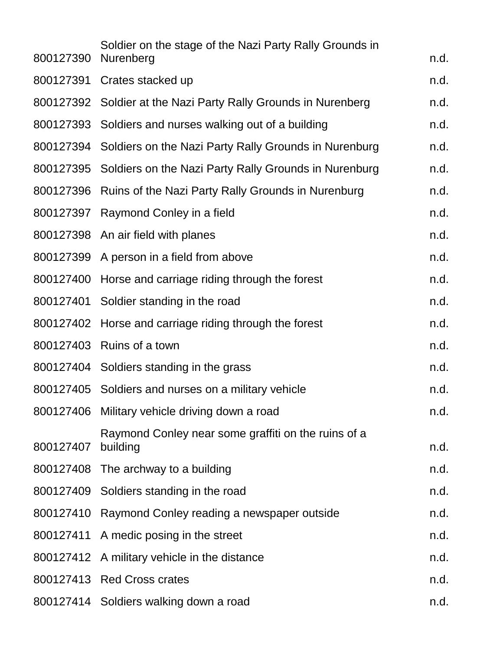| 800127390 | Soldier on the stage of the Nazi Party Rally Grounds in<br>Nurenberg | n.d. |
|-----------|----------------------------------------------------------------------|------|
|           | 800127391 Crates stacked up                                          | n.d. |
|           | 800127392 Soldier at the Nazi Party Rally Grounds in Nurenberg       | n.d. |
|           | 800127393 Soldiers and nurses walking out of a building              | n.d. |
| 800127394 | Soldiers on the Nazi Party Rally Grounds in Nurenburg                | n.d. |
|           | 800127395 Soldiers on the Nazi Party Rally Grounds in Nurenburg      | n.d. |
|           | 800127396 Ruins of the Nazi Party Rally Grounds in Nurenburg         | n.d. |
|           | 800127397 Raymond Conley in a field                                  | n.d. |
|           | 800127398 An air field with planes                                   | n.d. |
|           | 800127399 A person in a field from above                             | n.d. |
|           | 800127400 Horse and carriage riding through the forest               | n.d. |
|           | 800127401 Soldier standing in the road                               | n.d. |
| 800127402 | Horse and carriage riding through the forest                         | n.d. |
|           | 800127403 Ruins of a town                                            | n.d. |
|           | 800127404 Soldiers standing in the grass                             | n.d. |
|           | 800127405 Soldiers and nurses on a military vehicle                  | n.d. |
|           | 800127406 Military vehicle driving down a road                       | n.d. |
| 800127407 | Raymond Conley near some graffiti on the ruins of a<br>building      | n.d. |
|           | 800127408 The archway to a building                                  | n.d. |
|           | 800127409 Soldiers standing in the road                              | n.d. |
|           | 800127410 Raymond Conley reading a newspaper outside                 | n.d. |
|           | 800127411 A medic posing in the street                               | n.d. |
|           | 800127412 A military vehicle in the distance                         | n.d. |
|           | 800127413 Red Cross crates                                           | n.d. |
|           | 800127414 Soldiers walking down a road                               | n.d. |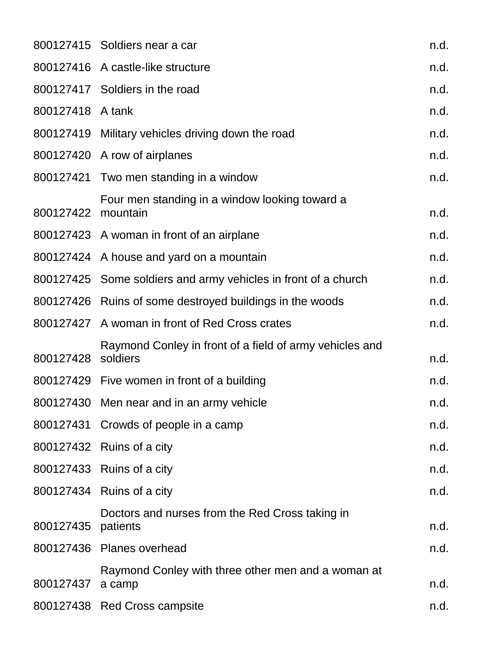|                    | 800127415 Soldiers near a car                                       | n.d. |
|--------------------|---------------------------------------------------------------------|------|
|                    | 800127416 A castle-like structure                                   | n.d. |
|                    | 800127417 Soldiers in the road                                      | n.d. |
| 800127418 A tank   |                                                                     | n.d. |
|                    | 800127419 Military vehicles driving down the road                   | n.d. |
|                    | 800127420 A row of airplanes                                        | n.d. |
|                    | 800127421 Two men standing in a window                              | n.d. |
| 800127422 mountain | Four men standing in a window looking toward a                      | n.d. |
|                    | 800127423 A woman in front of an airplane                           | n.d. |
|                    | 800127424 A house and yard on a mountain                            | n.d. |
|                    | 800127425 Some soldiers and army vehicles in front of a church      | n.d. |
|                    | 800127426 Ruins of some destroyed buildings in the woods            | n.d. |
|                    | 800127427 A woman in front of Red Cross crates                      | n.d. |
| 800127428          | Raymond Conley in front of a field of army vehicles and<br>soldiers | n.d. |
|                    | 800127429 Five women in front of a building                         | n.d. |
|                    | 800127430 Men near and in an army vehicle                           | n.d. |
|                    | 800127431 Crowds of people in a camp                                | n.d. |
|                    | 800127432 Ruins of a city                                           | n.d. |
|                    | 800127433 Ruins of a city                                           | n.d. |
|                    | 800127434 Ruins of a city                                           | n.d. |
| 800127435          | Doctors and nurses from the Red Cross taking in<br>patients         | n.d. |
|                    | 800127436 Planes overhead                                           | n.d. |
| 800127437          | Raymond Conley with three other men and a woman at<br>a camp        | n.d. |
|                    | 800127438 Red Cross campsite                                        | n.d. |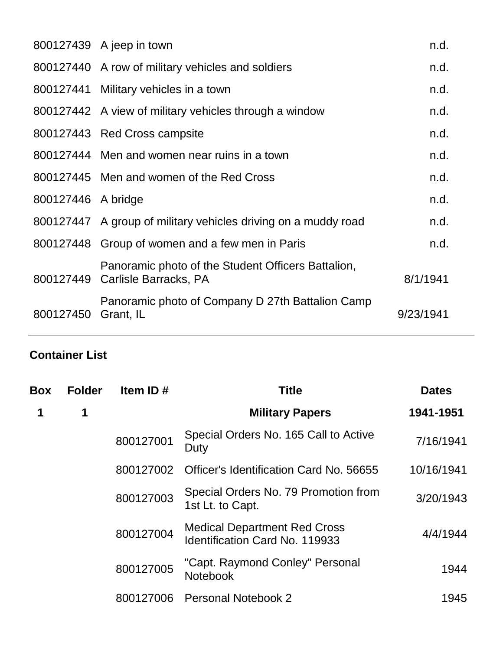|                    | 800127439 A jeep in town                                                              | n.d.      |
|--------------------|---------------------------------------------------------------------------------------|-----------|
|                    | 800127440 A row of military vehicles and soldiers                                     | n.d.      |
|                    | 800127441 Military vehicles in a town                                                 | n.d.      |
|                    | 800127442 A view of military vehicles through a window                                | n.d.      |
|                    | 800127443 Red Cross campsite                                                          | n.d.      |
|                    | 800127444 Men and women near ruins in a town                                          | n.d.      |
|                    | 800127445 Men and women of the Red Cross                                              | n.d.      |
| 800127446 A bridge |                                                                                       | n.d.      |
|                    | 800127447 A group of military vehicles driving on a muddy road                        | n.d.      |
|                    | 800127448 Group of women and a few men in Paris                                       | n.d.      |
|                    | Panoramic photo of the Student Officers Battalion,<br>800127449 Carlisle Barracks, PA | 8/1/1941  |
| 800127450          | Panoramic photo of Company D 27th Battalion Camp<br>Grant, IL                         | 9/23/1941 |
|                    |                                                                                       |           |

## **Container List**

| <b>Folder</b> | Item ID#  | <b>Title</b>                                                                 | <b>Dates</b> |
|---------------|-----------|------------------------------------------------------------------------------|--------------|
| 1             |           | <b>Military Papers</b>                                                       | 1941-1951    |
|               | 800127001 | Special Orders No. 165 Call to Active<br>Duty                                | 7/16/1941    |
|               | 800127002 | Officer's Identification Card No. 56655                                      | 10/16/1941   |
|               | 800127003 | Special Orders No. 79 Promotion from<br>1st Lt. to Capt.                     | 3/20/1943    |
|               | 800127004 | <b>Medical Department Red Cross</b><br><b>Identification Card No. 119933</b> | 4/4/1944     |
|               | 800127005 | "Capt. Raymond Conley" Personal<br>Notebook                                  | 1944         |
|               | 800127006 | <b>Personal Notebook 2</b>                                                   | 1945         |
|               |           |                                                                              |              |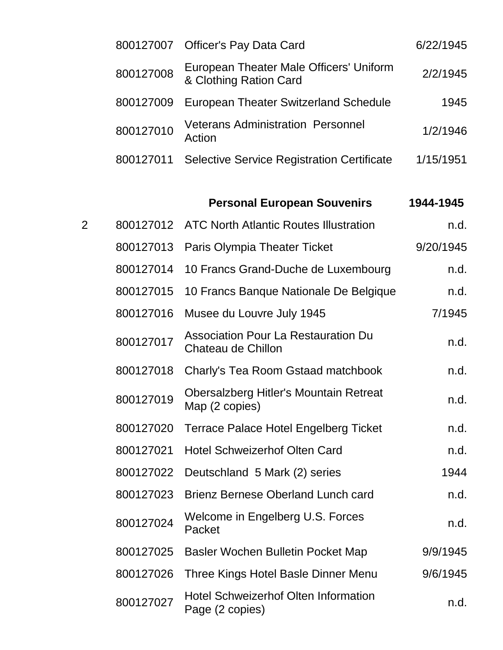|           | 800127007 Officer's Pay Data Card                                 | 6/22/1945 |
|-----------|-------------------------------------------------------------------|-----------|
| 800127008 | European Theater Male Officers' Uniform<br>& Clothing Ration Card | 2/2/1945  |
| 800127009 | <b>European Theater Switzerland Schedule</b>                      | 1945      |
| 800127010 | <b>Veterans Administration Personnel</b><br>Action                | 1/2/1946  |
| 800127011 | <b>Selective Service Registration Certificate</b>                 | 1/15/1951 |

# **Personal European Souvenirs 1944-1945**

| $\overline{2}$ | 800127012 | <b>ATC North Atlantic Routes Illustration</b>                    | n.d.      |
|----------------|-----------|------------------------------------------------------------------|-----------|
|                | 800127013 | Paris Olympia Theater Ticket                                     | 9/20/1945 |
|                | 800127014 | 10 Francs Grand-Duche de Luxembourg                              | n.d.      |
|                | 800127015 | 10 Francs Banque Nationale De Belgique                           | n.d.      |
|                | 800127016 | Musee du Louvre July 1945                                        | 7/1945    |
|                | 800127017 | <b>Association Pour La Restauration Du</b><br>Chateau de Chillon | n.d.      |
|                | 800127018 | Charly's Tea Room Gstaad matchbook                               | n.d.      |
|                | 800127019 | Obersalzberg Hitler's Mountain Retreat<br>Map (2 copies)         | n.d.      |
|                | 800127020 | <b>Terrace Palace Hotel Engelberg Ticket</b>                     | n.d.      |
|                | 800127021 | <b>Hotel Schweizerhof Olten Card</b>                             | n.d.      |
|                | 800127022 | Deutschland 5 Mark (2) series                                    | 1944      |
|                | 800127023 | <b>Brienz Bernese Oberland Lunch card</b>                        | n.d.      |
|                | 800127024 | Welcome in Engelberg U.S. Forces<br>Packet                       | n.d.      |
|                | 800127025 | Basler Wochen Bulletin Pocket Map                                | 9/9/1945  |
|                | 800127026 | Three Kings Hotel Basle Dinner Menu                              | 9/6/1945  |
|                | 800127027 | <b>Hotel Schweizerhof Olten Information</b><br>Page (2 copies)   | n.d.      |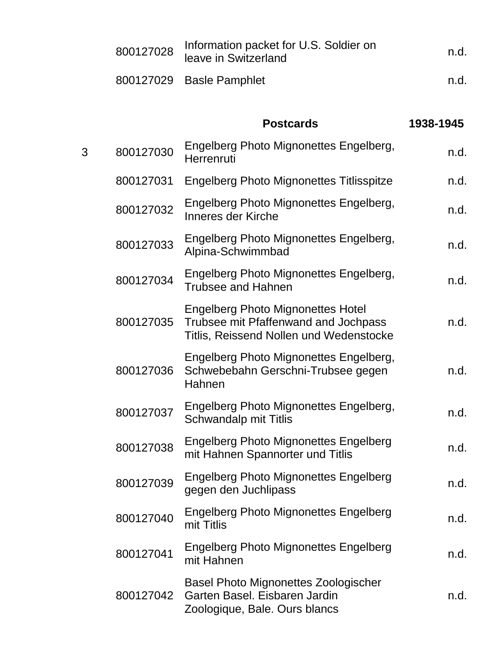|   | 800127028 | Information packet for U.S. Soldier on<br>leave in Switzerland                                                              | n.d.      |
|---|-----------|-----------------------------------------------------------------------------------------------------------------------------|-----------|
|   |           | 800127029 Basle Pamphlet                                                                                                    | n.d.      |
|   |           | <b>Postcards</b>                                                                                                            | 1938-1945 |
| 3 | 800127030 | Engelberg Photo Mignonettes Engelberg,<br>Herrenruti                                                                        | n.d.      |
|   | 800127031 | Engelberg Photo Mignonettes Titlisspitze                                                                                    | n.d.      |
|   | 800127032 | Engelberg Photo Mignonettes Engelberg,<br>Inneres der Kirche                                                                | n.d.      |
|   | 800127033 | Engelberg Photo Mignonettes Engelberg,<br>Alpina-Schwimmbad                                                                 | n.d.      |
|   | 800127034 | Engelberg Photo Mignonettes Engelberg,<br><b>Trubsee and Hahnen</b>                                                         | n.d.      |
|   | 800127035 | <b>Engelberg Photo Mignonettes Hotel</b><br>Trubsee mit Pfaffenwand and Jochpass<br>Titlis, Reissend Nollen und Wedenstocke | n.d.      |
|   | 800127036 | Engelberg Photo Mignonettes Engelberg,<br>Schwebebahn Gerschni-Trubsee gegen<br>Hahnen                                      | n.d.      |
|   | 800127037 | Engelberg Photo Mignonettes Engelberg,<br>Schwandalp mit Titlis                                                             | n.d.      |
|   | 800127038 | <b>Engelberg Photo Mignonettes Engelberg</b><br>mit Hahnen Spannorter und Titlis                                            | n.d.      |
|   | 800127039 | <b>Engelberg Photo Mignonettes Engelberg</b><br>gegen den Juchlipass                                                        | n.d.      |
|   | 800127040 | <b>Engelberg Photo Mignonettes Engelberg</b><br>mit Titlis                                                                  | n.d.      |
|   | 800127041 | <b>Engelberg Photo Mignonettes Engelberg</b><br>mit Hahnen                                                                  | n.d.      |
|   | 800127042 | <b>Basel Photo Mignonettes Zoologischer</b><br>Garten Basel. Eisbaren Jardin<br>Zoologique, Bale. Ours blancs               | n.d.      |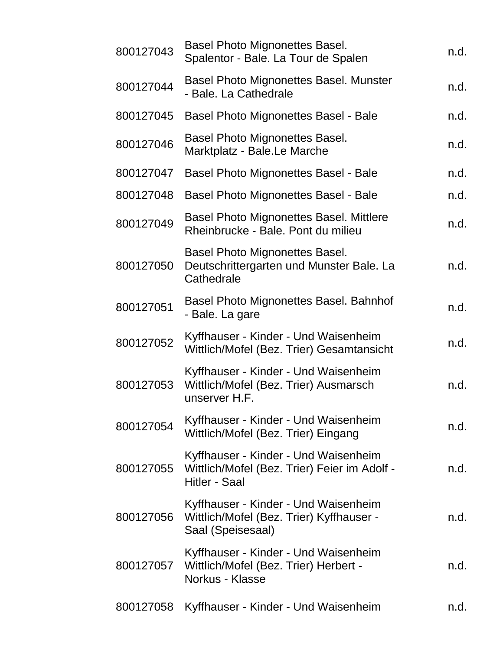| 800127043 | Basel Photo Mignonettes Basel.<br>Spalentor - Bale. La Tour de Spalen                                        | n.d. |
|-----------|--------------------------------------------------------------------------------------------------------------|------|
| 800127044 | <b>Basel Photo Mignonettes Basel. Munster</b><br>- Bale. La Cathedrale                                       | n.d. |
| 800127045 | <b>Basel Photo Mignonettes Basel - Bale</b>                                                                  | n.d. |
| 800127046 | Basel Photo Mignonettes Basel.<br>Marktplatz - Bale.Le Marche                                                | n.d. |
| 800127047 | <b>Basel Photo Mignonettes Basel - Bale</b>                                                                  | n.d. |
| 800127048 | <b>Basel Photo Mignonettes Basel - Bale</b>                                                                  | n.d. |
| 800127049 | <b>Basel Photo Mignonettes Basel. Mittlere</b><br>Rheinbrucke - Bale. Pont du milieu                         | n.d. |
| 800127050 | <b>Basel Photo Mignonettes Basel.</b><br>Deutschrittergarten und Munster Bale. La<br>Cathedrale              | n.d. |
| 800127051 | Basel Photo Mignonettes Basel. Bahnhof<br>- Bale. La gare                                                    | n.d. |
| 800127052 | Kyffhauser - Kinder - Und Waisenheim<br>Wittlich/Mofel (Bez. Trier) Gesamtansicht                            | n.d. |
| 800127053 | Kyffhauser - Kinder - Und Waisenheim<br>Wittlich/Mofel (Bez. Trier) Ausmarsch<br>unserver H.F.               | n.d. |
| 800127054 | Kyffhauser - Kinder - Und Waisenheim<br>Wittlich/Mofel (Bez. Trier) Eingang                                  | n.d. |
| 800127055 | Kyffhauser - Kinder - Und Waisenheim<br>Wittlich/Mofel (Bez. Trier) Feier im Adolf -<br><b>Hitler - Saal</b> | n.d. |
| 800127056 | Kyffhauser - Kinder - Und Waisenheim<br>Wittlich/Mofel (Bez. Trier) Kyffhauser -<br>Saal (Speisesaal)        | n.d. |
| 800127057 | Kyffhauser - Kinder - Und Waisenheim<br>Wittlich/Mofel (Bez. Trier) Herbert -<br>Norkus - Klasse             | n.d. |
| 800127058 | Kyffhauser - Kinder - Und Waisenheim                                                                         | n.d. |
|           |                                                                                                              |      |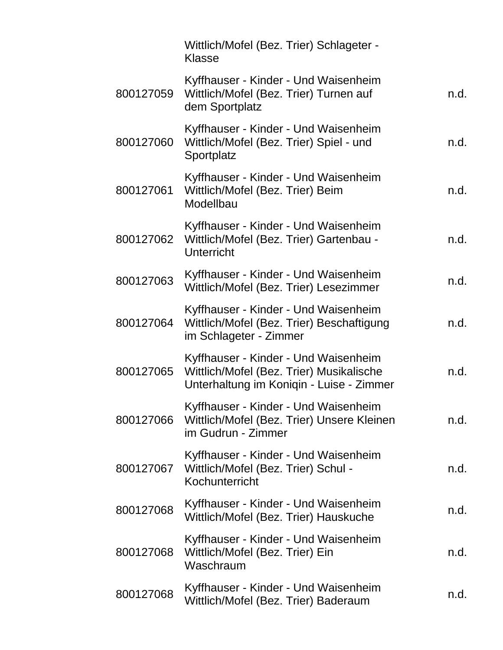|           | Wittlich/Mofel (Bez. Trier) Schlageter -<br>Klasse                                                                           |      |
|-----------|------------------------------------------------------------------------------------------------------------------------------|------|
| 800127059 | Kyffhauser - Kinder - Und Waisenheim<br>Wittlich/Mofel (Bez. Trier) Turnen auf<br>dem Sportplatz                             | n.d. |
| 800127060 | Kyffhauser - Kinder - Und Waisenheim<br>Wittlich/Mofel (Bez. Trier) Spiel - und<br>Sportplatz                                | n.d. |
| 800127061 | Kyffhauser - Kinder - Und Waisenheim<br>Wittlich/Mofel (Bez. Trier) Beim<br>Modellbau                                        | n.d. |
| 800127062 | Kyffhauser - Kinder - Und Waisenheim<br>Wittlich/Mofel (Bez. Trier) Gartenbau -<br>Unterricht                                | n.d. |
| 800127063 | Kyffhauser - Kinder - Und Waisenheim<br>Wittlich/Mofel (Bez. Trier) Lesezimmer                                               | n.d. |
| 800127064 | Kyffhauser - Kinder - Und Waisenheim<br>Wittlich/Mofel (Bez. Trier) Beschaftigung<br>im Schlageter - Zimmer                  | n.d. |
| 800127065 | Kyffhauser - Kinder - Und Waisenheim<br>Wittlich/Mofel (Bez. Trier) Musikalische<br>Unterhaltung im Koniqin - Luise - Zimmer | n.d. |
| 800127066 | Kyffhauser - Kinder - Und Waisenheim<br>Wittlich/Mofel (Bez. Trier) Unsere Kleinen<br>im Gudrun - Zimmer                     | n.d. |
| 800127067 | Kyffhauser - Kinder - Und Waisenheim<br>Wittlich/Mofel (Bez. Trier) Schul -<br>Kochunterricht                                | n.d. |
| 800127068 | Kyffhauser - Kinder - Und Waisenheim<br>Wittlich/Mofel (Bez. Trier) Hauskuche                                                | n.d. |
| 800127068 | Kyffhauser - Kinder - Und Waisenheim<br>Wittlich/Mofel (Bez. Trier) Ein<br>Waschraum                                         | n.d. |
| 800127068 | Kyffhauser - Kinder - Und Waisenheim<br>Wittlich/Mofel (Bez. Trier) Baderaum                                                 | n.d. |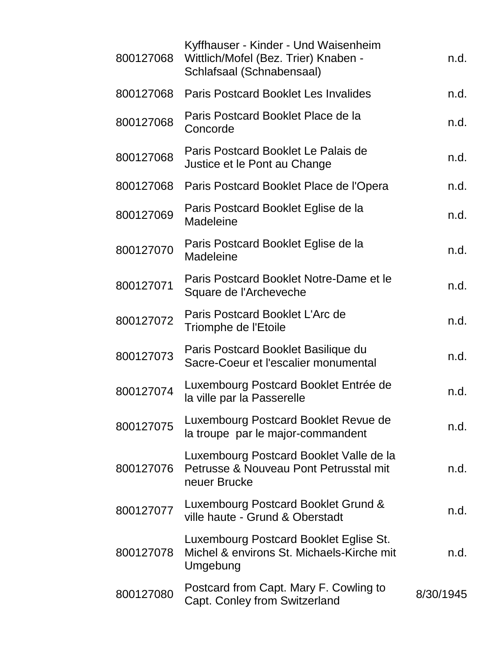| 800127068 | Kyffhauser - Kinder - Und Waisenheim<br>Wittlich/Mofel (Bez. Trier) Knaben -<br>Schlafsaal (Schnabensaal) | n.d.      |
|-----------|-----------------------------------------------------------------------------------------------------------|-----------|
| 800127068 | <b>Paris Postcard Booklet Les Invalides</b>                                                               | n.d.      |
| 800127068 | Paris Postcard Booklet Place de la<br>Concorde                                                            | n.d.      |
| 800127068 | Paris Postcard Booklet Le Palais de<br>Justice et le Pont au Change                                       | n.d.      |
| 800127068 | Paris Postcard Booklet Place de l'Opera                                                                   | n.d.      |
| 800127069 | Paris Postcard Booklet Eglise de la<br>Madeleine                                                          | n.d.      |
| 800127070 | Paris Postcard Booklet Eglise de la<br>Madeleine                                                          | n.d.      |
| 800127071 | Paris Postcard Booklet Notre-Dame et le<br>Square de l'Archeveche                                         | n.d.      |
| 800127072 | Paris Postcard Booklet L'Arc de<br>Triomphe de l'Etoile                                                   | n.d.      |
| 800127073 | Paris Postcard Booklet Basilique du<br>Sacre-Coeur et l'escalier monumental                               | n.d.      |
| 800127074 | Luxembourg Postcard Booklet Entrée de<br>la ville par la Passerelle                                       | n.d.      |
| 800127075 | Luxembourg Postcard Booklet Revue de<br>la troupe par le major-commandent                                 | n.d.      |
| 800127076 | Luxembourg Postcard Booklet Valle de la<br>Petrusse & Nouveau Pont Petrusstal mit<br>neuer Brucke         | n.d.      |
| 800127077 | Luxembourg Postcard Booklet Grund &<br>ville haute - Grund & Oberstadt                                    | n.d.      |
| 800127078 | Luxembourg Postcard Booklet Eglise St.<br>Michel & environs St. Michaels-Kirche mit<br>Umgebung           | n.d.      |
| 800127080 | Postcard from Capt. Mary F. Cowling to<br>Capt. Conley from Switzerland                                   | 8/30/1945 |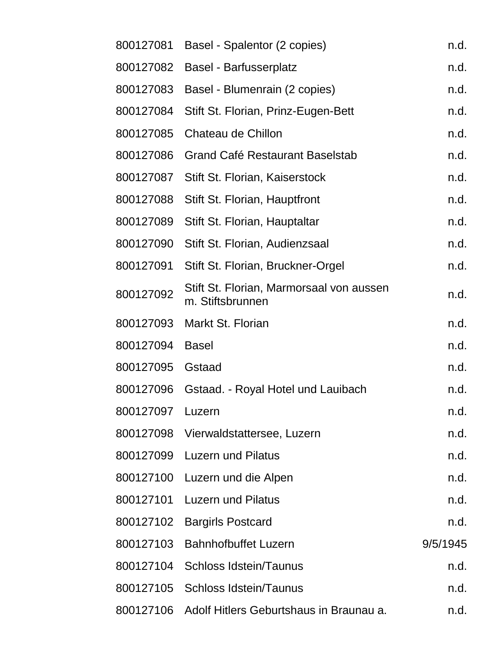| 800127081        | Basel - Spalentor (2 copies)                                 | n.d.     |
|------------------|--------------------------------------------------------------|----------|
| 800127082        | <b>Basel - Barfusserplatz</b>                                | n.d.     |
| 800127083        | Basel - Blumenrain (2 copies)                                | n.d.     |
| 800127084        | Stift St. Florian, Prinz-Eugen-Bett                          | n.d.     |
| 800127085        | Chateau de Chillon                                           | n.d.     |
| 800127086        | <b>Grand Café Restaurant Baselstab</b>                       | n.d.     |
| 800127087        | Stift St. Florian, Kaiserstock                               | n.d.     |
| 800127088        | Stift St. Florian, Hauptfront                                | n.d.     |
| 800127089        | Stift St. Florian, Hauptaltar                                | n.d.     |
| 800127090        | Stift St. Florian, Audienzsaal                               | n.d.     |
| 800127091        | Stift St. Florian, Bruckner-Orgel                            | n.d.     |
| 800127092        | Stift St. Florian, Marmorsaal von aussen<br>m. Stiftsbrunnen | n.d.     |
| 800127093        | Markt St. Florian                                            | n.d.     |
| 800127094        | <b>Basel</b>                                                 | n.d.     |
| 800127095        | Gstaad                                                       | n.d.     |
| 800127096        | Gstaad. - Royal Hotel und Lauibach                           | n.d.     |
| 800127097 Luzern |                                                              | n.d.     |
|                  | 800127098 Vierwaldstattersee, Luzern                         | n.d.     |
| 800127099        | <b>Luzern und Pilatus</b>                                    | n.d.     |
| 800127100        | Luzern und die Alpen                                         | n.d.     |
| 800127101        | <b>Luzern und Pilatus</b>                                    | n.d.     |
| 800127102        | <b>Bargirls Postcard</b>                                     | n.d.     |
| 800127103        | <b>Bahnhofbuffet Luzern</b>                                  | 9/5/1945 |
| 800127104        | <b>Schloss Idstein/Taunus</b>                                | n.d.     |
| 800127105        | <b>Schloss Idstein/Taunus</b>                                | n.d.     |
| 800127106        | Adolf Hitlers Geburtshaus in Braunau a.                      | n.d.     |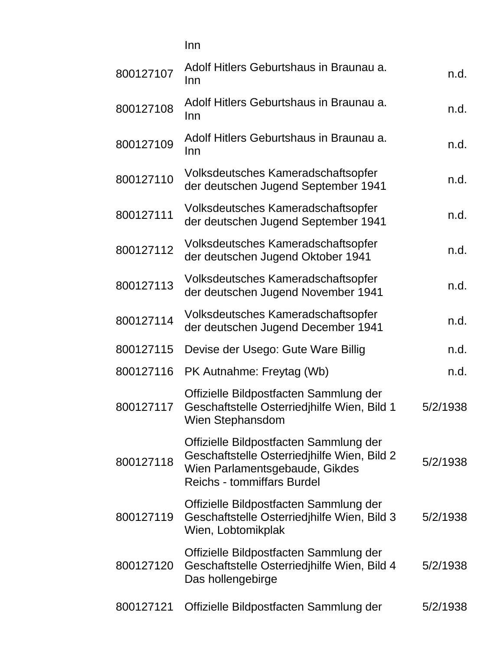|           | Inn                                                                                                                                                          |          |
|-----------|--------------------------------------------------------------------------------------------------------------------------------------------------------------|----------|
| 800127107 | Adolf Hitlers Geburtshaus in Braunau a.<br>Inn                                                                                                               | n.d.     |
| 800127108 | Adolf Hitlers Geburtshaus in Braunau a.<br>Inn                                                                                                               | n.d.     |
| 800127109 | Adolf Hitlers Geburtshaus in Braunau a.<br>Inn                                                                                                               | n.d.     |
| 800127110 | Volksdeutsches Kameradschaftsopfer<br>der deutschen Jugend September 1941                                                                                    | n.d.     |
| 800127111 | Volksdeutsches Kameradschaftsopfer<br>der deutschen Jugend September 1941                                                                                    | n.d.     |
| 800127112 | Volksdeutsches Kameradschaftsopfer<br>der deutschen Jugend Oktober 1941                                                                                      | n.d.     |
| 800127113 | Volksdeutsches Kameradschaftsopfer<br>der deutschen Jugend November 1941                                                                                     | n.d.     |
| 800127114 | Volksdeutsches Kameradschaftsopfer<br>der deutschen Jugend December 1941                                                                                     | n.d.     |
| 800127115 | Devise der Usego: Gute Ware Billig                                                                                                                           | n.d.     |
| 800127116 | PK Autnahme: Freytag (Wb)                                                                                                                                    | n.d.     |
| 800127117 | Offizielle Bildpostfacten Sammlung der<br>Geschaftstelle Osterriedjhilfe Wien, Bild 1<br>Wien Stephansdom                                                    | 5/2/1938 |
| 800127118 | Offizielle Bildpostfacten Sammlung der<br>Geschaftstelle Osterriedjhilfe Wien, Bild 2<br>Wien Parlamentsgebaude, Gikdes<br><b>Reichs - tommiffars Burdel</b> | 5/2/1938 |
| 800127119 | Offizielle Bildpostfacten Sammlung der<br>Geschaftstelle Osterriedjhilfe Wien, Bild 3<br>Wien, Lobtomikplak                                                  | 5/2/1938 |
| 800127120 | Offizielle Bildpostfacten Sammlung der<br>Geschaftstelle Osterriedjhilfe Wien, Bild 4<br>Das hollengebirge                                                   | 5/2/1938 |
| 800127121 | Offizielle Bildpostfacten Sammlung der                                                                                                                       | 5/2/1938 |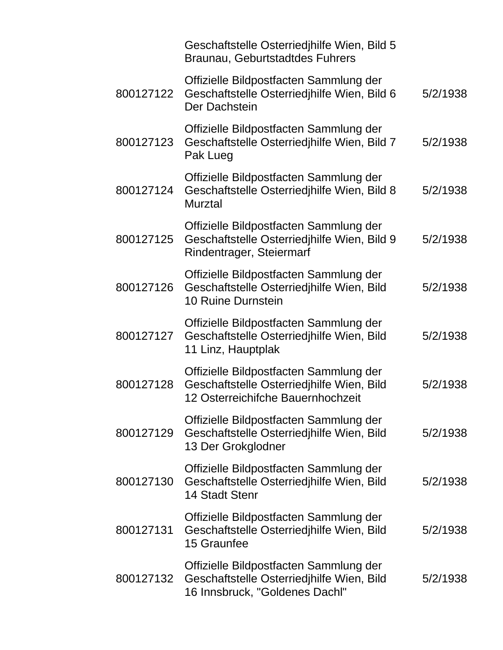|           | Geschaftstelle Osterriedjhilfe Wien, Bild 5<br>Braunau, Geburtstadtdes Fuhrers                                           |          |
|-----------|--------------------------------------------------------------------------------------------------------------------------|----------|
| 800127122 | Offizielle Bildpostfacten Sammlung der<br>Geschaftstelle Osterriedjhilfe Wien, Bild 6<br>Der Dachstein                   | 5/2/1938 |
| 800127123 | Offizielle Bildpostfacten Sammlung der<br>Geschaftstelle Osterriedjhilfe Wien, Bild 7<br>Pak Lueg                        | 5/2/1938 |
| 800127124 | Offizielle Bildpostfacten Sammlung der<br>Geschaftstelle Osterriedjhilfe Wien, Bild 8<br><b>Murztal</b>                  | 5/2/1938 |
| 800127125 | Offizielle Bildpostfacten Sammlung der<br>Geschaftstelle Osterriedjhilfe Wien, Bild 9<br>Rindentrager, Steiermarf        | 5/2/1938 |
| 800127126 | Offizielle Bildpostfacten Sammlung der<br>Geschaftstelle Osterriedjhilfe Wien, Bild<br>10 Ruine Durnstein                | 5/2/1938 |
| 800127127 | Offizielle Bildpostfacten Sammlung der<br>Geschaftstelle Osterriedjhilfe Wien, Bild<br>11 Linz, Hauptplak                | 5/2/1938 |
| 800127128 | Offizielle Bildpostfacten Sammlung der<br>Geschaftstelle Osterriedjhilfe Wien, Bild<br>12 Osterreichifche Bauernhochzeit | 5/2/1938 |
| 800127129 | Offizielle Bildpostfacten Sammlung der<br>Geschaftstelle Osterriedjhilfe Wien, Bild<br>13 Der Grokglodner                | 5/2/1938 |
| 800127130 | Offizielle Bildpostfacten Sammlung der<br>Geschaftstelle Osterriedjhilfe Wien, Bild<br><b>14 Stadt Stenr</b>             | 5/2/1938 |
| 800127131 | Offizielle Bildpostfacten Sammlung der<br>Geschaftstelle Osterriedjhilfe Wien, Bild<br>15 Graunfee                       | 5/2/1938 |
| 800127132 | Offizielle Bildpostfacten Sammlung der<br>Geschaftstelle Osterriedjhilfe Wien, Bild<br>16 Innsbruck, "Goldenes Dachl"    | 5/2/1938 |